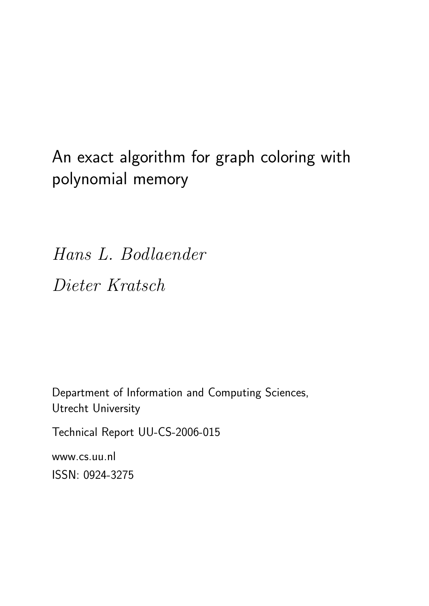An exact algorithm for graph coloring with polynomial memory

Hans L. Bodlaender Dieter Kratsch

Department of Information and Computing Sciences, Utrecht University

Technical Report UU-CS-2006-015

www.cs.uu.nl ISSN: 0924-3275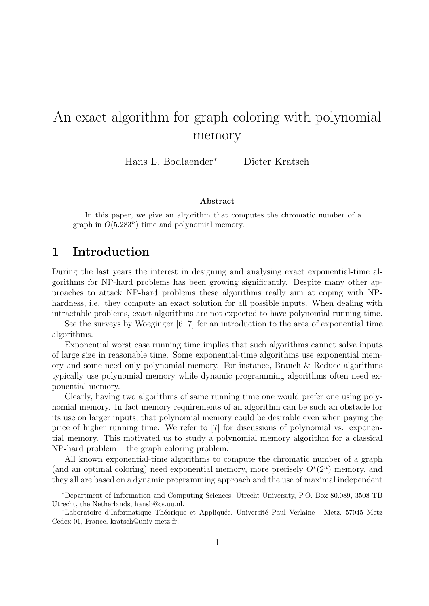# An exact algorithm for graph coloring with polynomial memory

Hans L. Bodlaender<sup>∗</sup> Dieter Kratsch†

#### Abstract

In this paper, we give an algorithm that computes the chromatic number of a graph in  $O(5.283^n)$  time and polynomial memory.

### 1 Introduction

During the last years the interest in designing and analysing exact exponential-time algorithms for NP-hard problems has been growing significantly. Despite many other approaches to attack NP-hard problems these algorithms really aim at coping with NPhardness, i.e. they compute an exact solution for all possible inputs. When dealing with intractable problems, exact algorithms are not expected to have polynomial running time.

See the surveys by Woeginger [6, 7] for an introduction to the area of exponential time algorithms.

Exponential worst case running time implies that such algorithms cannot solve inputs of large size in reasonable time. Some exponential-time algorithms use exponential memory and some need only polynomial memory. For instance, Branch & Reduce algorithms typically use polynomial memory while dynamic programming algorithms often need exponential memory.

Clearly, having two algorithms of same running time one would prefer one using polynomial memory. In fact memory requirements of an algorithm can be such an obstacle for its use on larger inputs, that polynomial memory could be desirable even when paying the price of higher running time. We refer to [7] for discussions of polynomial vs. exponential memory. This motivated us to study a polynomial memory algorithm for a classical NP-hard problem – the graph coloring problem.

All known exponential-time algorithms to compute the chromatic number of a graph (and an optimal coloring) need exponential memory, more precisely  $O<sup>*</sup>(2<sup>n</sup>)$  memory, and they all are based on a dynamic programming approach and the use of maximal independent

<sup>∗</sup>Department of Information and Computing Sciences, Utrecht University, P.O. Box 80.089, 3508 TB Utrecht, the Netherlands, hansb@cs.uu.nl.

<sup>&</sup>lt;sup>†</sup>Laboratoire d'Informatique Théorique et Appliquée, Université Paul Verlaine - Metz, 57045 Metz Cedex 01, France, kratsch@univ-metz.fr.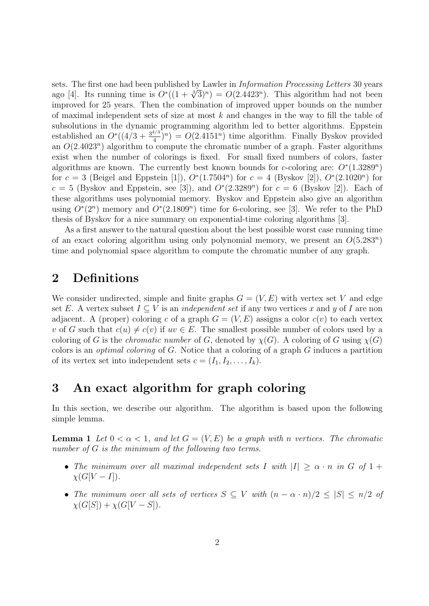sets. The first one had been published by Lawler in Information Processing Letters 30 years sets. The first one had been published by Lawler in *Information Processing Letters* 50 years<br>ago [4]. Its running time is  $O^*((1 + \sqrt[3]{3})^n) = O(2.4423^n)$ . This algorithm had not been improved for 25 years. Then the combination of improved upper bounds on the number of maximal independent sets of size at most k and changes in the way to fill the table of subsolutions in the dynamic programming algorithm led to better algorithms. Eppstein established an  $O^*(4/3 + \frac{3^{4/3}}{4})$  $\left(\frac{4}{4}\right)^n$  =  $O(2.4151^n)$  time algorithm. Finally Byskov provided an  $O(2.4023^n)$  algorithm to compute the chromatic number of a graph. Faster algorithms exist when the number of colorings is fixed. For small fixed numbers of colors, faster algorithms are known. The currently best known bounds for c-coloring are:  $O^*(1.3289^n)$ for  $c = 3$  (Beigel and Eppstein [1]),  $O^*(1.7504^n)$  for  $c = 4$  (Byskov [2]),  $O^*(2.1020^n)$  for  $c = 5$  (Byskov and Eppstein, see [3]), and  $O<sup>*</sup>(2.3289<sup>n</sup>)$  for  $c = 6$  (Byskov [2]). Each of these algorithms uses polynomial memory. Byskov and Eppstein also give an algorithm using  $O^*(2^n)$  memory and  $O^*(2.1809^n)$  time for 6-coloring, see [3]. We refer to the PhD thesis of Byskov for a nice summary on exponential-time coloring algorithms [3].

As a first answer to the natural question about the best possible worst case running time of an exact coloring algorithm using only polynomial memory, we present an  $O(5.283^n)$ time and polynomial space algorithm to compute the chromatic number of any graph.

### 2 Definitions

We consider undirected, simple and finite graphs  $G = (V, E)$  with vertex set V and edge set E. A vertex subset  $I \subseteq V$  is an *independent set* if any two vertices x and y of I are non adjacent. A (proper) coloring c of a graph  $G = (V, E)$  assigns a color  $c(v)$  to each vertex v of G such that  $c(u) \neq c(v)$  if  $uv \in E$ . The smallest possible number of colors used by a coloring of G is the *chromatic number* of G, denoted by  $\chi(G)$ . A coloring of G using  $\chi(G)$ colors is an optimal coloring of G. Notice that a coloring of a graph G induces a partition of its vertex set into independent sets  $c = (I_1, I_2, \ldots, I_k)$ .

### 3 An exact algorithm for graph coloring

In this section, we describe our algorithm. The algorithm is based upon the following simple lemma.

**Lemma 1** Let  $0 < \alpha < 1$ , and let  $G = (V, E)$  be a graph with n vertices. The chromatic number of G is the minimum of the following two terms.

- The minimum over all maximal independent sets I with  $|I| \geq \alpha \cdot n$  in G of  $1 +$  $\chi(G[V-I]).$
- The minimum over all sets of vertices  $S \subseteq V$  with  $(n \alpha \cdot n)/2 \leq |S| \leq n/2$  of  $\chi(G[S]) + \chi(G[V-S]).$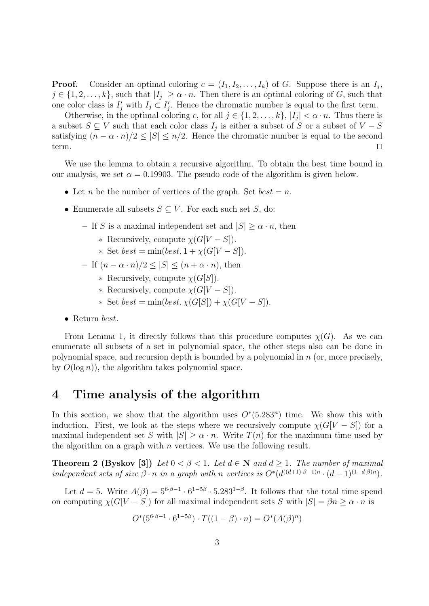**Proof.** Consider an optimal coloring  $c = (I_1, I_2, \ldots, I_k)$  of G. Suppose there is an  $I_j$ ,  $j \in \{1, 2, \ldots, k\}$ , such that  $|I_j| \geq \alpha \cdot n$ . Then there is an optimal coloring of G, such that one color class is  $I'_j$  with  $I_j \subset I'_j$ . Hence the chromatic number is equal to the first term.

Otherwise, in the optimal coloring c, for all  $j \in \{1, 2, ..., k\}$ ,  $|I_j| < \alpha \cdot n$ . Thus there is a subset  $S \subseteq V$  such that each color class  $I_j$  is either a subset of S or a subset of  $V - S$ satisfying  $(n - \alpha \cdot n)/2 \leq |S| \leq n/2$ . Hence the chromatic number is equal to the second  $term.$ 

We use the lemma to obtain a recursive algorithm. To obtain the best time bound in our analysis, we set  $\alpha = 0.19903$ . The pseudo code of the algorithm is given below.

- Let *n* be the number of vertices of the graph. Set  $best = n$ .
- Enumerate all subsets  $S \subseteq V$ . For each such set S, do:
	- If S is a maximal independent set and  $|S| \ge \alpha \cdot n$ , then
		- ∗ Recursively, compute χ(G[V − S]).
		- \* Set  $best = min(best, 1 + \chi(G[V S]).$
	- If  $(n \alpha \cdot n)/2 < |S| < (n + \alpha \cdot n)$ , then
		- ∗ Recursively, compute χ(G[S]).
		- ∗ Recursively, compute χ(G[V − S]).
		- \* Set  $best = min(best, \chi(G[S]) + \chi(G[V-S]).$
- Return best.

From Lemma 1, it directly follows that this procedure computes  $\chi(G)$ . As we can enumerate all subsets of a set in polynomial space, the other steps also can be done in polynomial space, and recursion depth is bounded by a polynomial in  $n$  (or, more precisely, by  $O(\log n)$ , the algorithm takes polynomial space.

#### 4 Time analysis of the algorithm

In this section, we show that the algorithm uses  $O<sup>*</sup>(5.283<sup>n</sup>)$  time. We show this with induction. First, we look at the steps where we recursively compute  $\chi(G[V-S])$  for a maximal independent set S with  $|S| \ge \alpha \cdot n$ . Write  $T(n)$  for the maximum time used by the algorithm on a graph with  $n$  vertices. We use the following result.

**Theorem 2 (Byskov [3])** Let  $0 < \beta < 1$ . Let  $d \in \mathbb{N}$  and  $d \ge 1$ . The number of maximal independent sets of size  $\beta \cdot n$  in a graph with n vertices is  $O^*(d^{((d+1)\cdot\beta-1)n} \cdot (d+1)^{(1-d\cdot\beta)n})$ .

Let  $d = 5$ . Write  $A(\beta) = 5^{6\cdot\beta-1} \cdot 6^{1-5\beta} \cdot 5.283^{1-\beta}$ . It follows that the total time spend on computing  $\chi(G[V-S])$  for all maximal independent sets S with  $|S| = \beta n \ge \alpha \cdot n$  is

$$
O^*(5^{6\cdot\beta-1}\cdot 6^{1-5\beta})\cdot T((1-\beta)\cdot n) = O^*(A(\beta)^n)
$$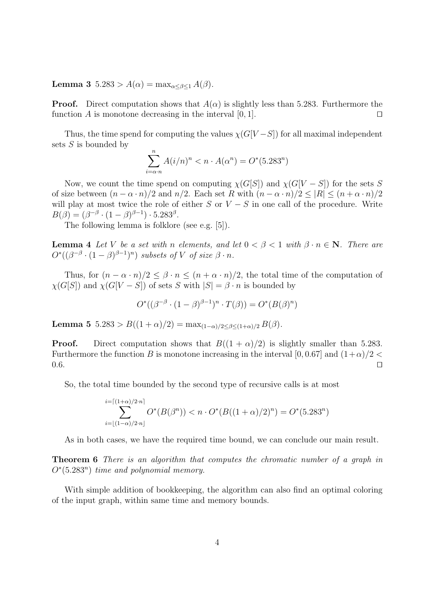Lemma 3  $5.283 > A(\alpha) = \max_{\alpha \leq \beta \leq 1} A(\beta)$ .

**Proof.** Direct computation shows that  $A(\alpha)$  is slightly less than 5.283. Furthermore the function A is monotone decreasing in the interval  $[0, 1]$ .

Thus, the time spend for computing the values  $\chi(G[V-S])$  for all maximal independent sets S is bounded by

$$
\sum_{i=\alpha \cdot n}^{n} A(i/n)^n < n \cdot A(\alpha^n) = O^*(5.283^n)
$$

Now, we count the time spend on computing  $\chi(G[S])$  and  $\chi(G[V-S])$  for the sets S of size between  $(n - \alpha \cdot n)/2$  and  $n/2$ . Each set R with  $(n - \alpha \cdot n)/2 \leq |R| \leq (n + \alpha \cdot n)/2$ will play at most twice the role of either S or  $V - S$  in one call of the procedure. Write  $B(\beta) = (\beta^{-\beta} \cdot (1 - \beta)^{\beta - 1}) \cdot 5.283^{\beta}.$ 

The following lemma is folklore (see e.g. [5]).

**Lemma 4** Let V be a set with n elements, and let  $0 < \beta < 1$  with  $\beta \cdot n \in \mathbb{N}$ . There are  $O^*((\beta^{-\beta}\cdot(1-\beta)^{\beta-1})^n)$  subsets of V of size  $\beta \cdot n$ .

Thus, for  $(n - \alpha \cdot n)/2 \leq \beta \cdot n \leq (n + \alpha \cdot n)/2$ , the total time of the computation of  $\chi(G[S])$  and  $\chi(G[V-S])$  of sets S with  $|S| = \beta \cdot n$  is bounded by

$$
O^*((\beta^{-\beta} \cdot (1-\beta)^{\beta-1})^n \cdot T(\beta)) = O^*(B(\beta)^n)
$$

Lemma 5  $5.283 > B((1+\alpha)/2) = \max_{(1-\alpha)/2 \leq \beta \leq (1+\alpha)/2} B(\beta)$ .

**Proof.** Direct computation shows that  $B((1 + \alpha)/2)$  is slightly smaller than 5.283. Furthermore the function B is monotone increasing in the interval [0, 0.67] and  $(1+\alpha)/2$  $0.6.$ 

So, the total time bounded by the second type of recursive calls is at most

$$
\sum_{i=\lfloor (1-\alpha)/2\cdot n \rfloor}^{i=\lceil (1+\alpha)/2\cdot n \rceil} O^*(B(\beta^n)) < n \cdot O^*(B((1+\alpha)/2)^n) = O^*(5.283^n)
$$

As in both cases, we have the required time bound, we can conclude our main result.

Theorem 6 There is an algorithm that computes the chromatic number of a graph in  $O<sup>*</sup>(5.283<sup>n</sup>)$  time and polynomial memory.

With simple addition of bookkeeping, the algorithm can also find an optimal coloring of the input graph, within same time and memory bounds.